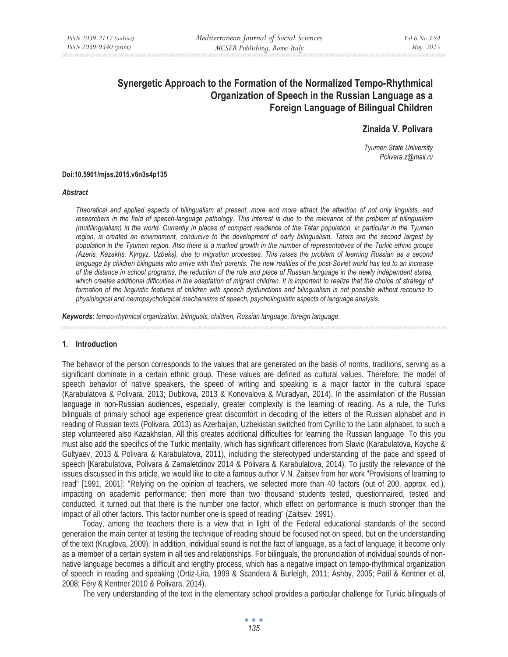# **Synergetic Approach to the Formation of the Normalized Tempo-Rhythmical Organization of Speech in the Russian Language as a Foreign Language of Bilingual Children**

# **Zinaida V. Polivara**

*Tyumen State University Polivara.z@mail.ru* 

#### **Doi:10.5901/mjss.2015.v6n3s4p135**

#### *Abstract*

*Theoretical and applied aspects of bilingualism at present, more and more attract the attention of not only linguists, and researchers in the field of speech-language pathology. This interest is due to the relevance of the problem of bilingualism (multilingualism) in the world. Currently in places of compact residence of the Tatar population, in particular in the Tyumen region, is created an environment, conducive to the development of early bilingualism. Tatars are the second largest by population in the Tyumen region. Also there is a marked growth in the number of representatives of the Turkic ethnic groups (Azeris, Kazakhs, Kyrgyz, Uzbeks), due to migration processes. This raises the problem of learning Russian as a second*  language by children bilinguals who arrive with their parents. The new realities of the post-Soviet world has led to an increase *of the distance in school programs, the reduction of the role and place of Russian language in the newly independent states,*  which creates additional difficulties in the adaptation of migrant children. It is important to realize that the choice of strategy of *formation of the linguistic features of children with speech dysfunctions and bilingualism is not possible without recourse to physiological and neuropsychological mechanisms of speech, psycholinguistic aspects of language analysis.* 

*Keywords: tempo-rhytmical organization, bilinguals, children, Russian language, foreign language.*

## **1. Introduction**

The behavior of the person corresponds to the values that are generated on the basis of norms, traditions, serving as a significant dominate in a certain ethnic group. These values are defined as cultural values. Therefore, the model of speech behavior of native speakers, the speed of writing and speaking is a major factor in the cultural space (Karabulatova & Polivara, 2013; Dubkova, 2013 & Konovalova & Muradyan, 2014). In the assimilation of the Russian language in non-Russian audiences, especially, greater complexity is the learning of reading. As a rule, the Turks bilinguals of primary school age experience great discomfort in decoding of the letters of the Russian alphabet and in reading of Russian texts (Polivara, 2013) as Azerbaijan, Uzbekistan switched from Cyrillic to the Latin alphabet, to such a step volunteered also Kazakhstan. All this creates additional difficulties for learning the Russian language. To this you must also add the specifics of the Turkic mentality, which has significant differences from Slavic (Karabulatova, Koyche & Gultyaev, 2013 & Polivara & Karabulatova, 2011), including the stereotyped understanding of the pace and speed of speech [Karabulatova, Polivara & Zamaletdinov 2014 & Polivara & Karabulatova, 2014). To justify the relevance of the issues discussed in this article, we would like to cite a famous author V.N. Zaitsev from her work "Provisions of learning to read" [1991, 2001]: "Relying on the opinion of teachers, we selected more than 40 factors (out of 200, approx. ed.), impacting on academic performance; then more than two thousand students tested, questionnaired, tested and conducted. It turned out that there is the number one factor, which effect on performance is much stronger than the impact of all other factors. This factor number one is speed of reading" (Zaitsev, 1991).

Today, among the teachers there is a view that in light of the Federal educational standards of the second generation the main center at testing the technique of reading should be focused not on speed, but on the understanding of the text (Kruglova, 2009). In addition, individual sound is not the fact of language, as a fact of language, it become only as a member of a certain system in all ties and relationships. For bilinguals, the pronunciation of individual sounds of nonnative language becomes a difficult and lengthy process, which has a negative impact on tempo-rhythmical organization of speech in reading and speaking (Ortiz-Lira, 1999 & Scandera & Burleigh, 2011; Ashby, 2005; Patil & Kentner et al, 2008; Féry & Kentner 2010 & Polivara, 2014).

The very understanding of the text in the elementary school provides a particular challenge for Turkic bilinguals of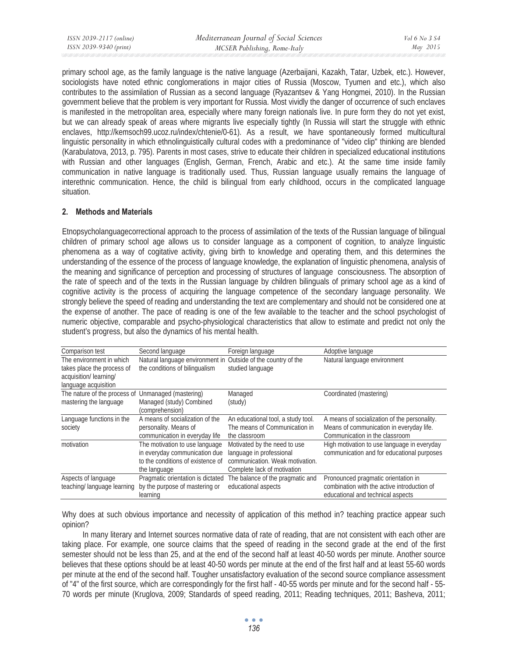primary school age, as the family language is the native language (Azerbaijani, Kazakh, Tatar, Uzbek, etc.). However, sociologists have noted ethnic conglomerations in major cities of Russia (Moscow, Tyumen and etc.), which also contributes to the assimilation of Russian as a second language (Ryazantsev & Yang Hongmei, 2010). In the Russian government believe that the problem is very important for Russia. Most vividly the danger of occurrence of such enclaves is manifested in the metropolitan area, especially where many foreign nationals live. In pure form they do not yet exist, but we can already speak of areas where migrants live especially tightly (In Russia will start the struggle with ethnic enclaves, http://kemsoch99.ucoz.ru/index/chtenie/0-61). As a result, we have spontaneously formed multicultural linguistic personality in which ethnolinguistically cultural codes with a predominance of "video clip" thinking are blended (Karabulatova, 2013, p. 795). Parents in most cases, strive to educate their children in specialized educational institutions with Russian and other languages (English, German, French, Arabic and etc.). At the same time inside family communication in native language is traditionally used. Thus, Russian language usually remains the language of interethnic communication. Hence, the child is bilingual from early childhood, occurs in the complicated language situation.

# **2. Methods and Materials**

Etnopsycholanguagecorrectional approach to the process of assimilation of the texts of the Russian language of bilingual children of primary school age allows us to consider language as a component of cognition, to analyze linguistic phenomena as a way of cogitative activity, giving birth to knowledge and operating them, and this determines the understanding of the essence of the process of language knowledge, the explanation of linguistic phenomena, analysis of the meaning and significance of perception and processing of structures of language consciousness. The absorption of the rate of speech and of the texts in the Russian language by children bilinguals of primary school age as a kind of cognitive activity is the process of acquiring the language competence of the secondary language personality. We strongly believe the speed of reading and understanding the text are complementary and should not be considered one at the expense of another. The pace of reading is one of the few available to the teacher and the school psychologist of numeric objective, comparable and psycho-physiological characteristics that allow to estimate and predict not only the student's progress, but also the dynamics of his mental health.

| Comparison test                                                                                          | Second language                                                                                                      | Foreign language                                                                                                           | Adoptive language                                                                                                          |
|----------------------------------------------------------------------------------------------------------|----------------------------------------------------------------------------------------------------------------------|----------------------------------------------------------------------------------------------------------------------------|----------------------------------------------------------------------------------------------------------------------------|
| The environment in which<br>takes place the process of<br>acquisition/ learning/<br>language acquisition | Natural language environment in<br>the conditions of bilingualism                                                    | Outside of the country of the<br>studied language                                                                          | Natural language environment                                                                                               |
| The nature of the process of Unmanaged (mastering)<br>mastering the language                             | Managed (study) Combined<br>(comprehension)                                                                          | Managed<br>(study)                                                                                                         | Coordinated (mastering)                                                                                                    |
| Language functions in the<br>society                                                                     | A means of socialization of the<br>personality. Means of<br>communication in everyday life                           | An educational tool, a study tool.<br>The means of Communication in<br>the classroom                                       | A means of socialization of the personality.<br>Means of communication in everyday life.<br>Communication in the classroom |
| motivation                                                                                               | The motivation to use language<br>in everyday communication due<br>to the conditions of existence of<br>the language | Motivated by the need to use<br>language in professional<br>communication. Weak motivation.<br>Complete lack of motivation | High motivation to use language in everyday<br>communication and for educational purposes                                  |
| Aspects of language<br>teaching/ language learning                                                       | Pragmatic orientation is dictated<br>by the purpose of mastering or<br>learning                                      | The balance of the pragmatic and<br>educational aspects                                                                    | Pronounced pragmatic orientation in<br>combination with the active introduction of<br>educational and technical aspects    |

Why does at such obvious importance and necessity of application of this method in? teaching practice appear such opinion?

In many literary and Internet sources normative data of rate of reading, that are not consistent with each other are taking place. For example, one source claims that the speed of reading in the second grade at the end of the first semester should not be less than 25, and at the end of the second half at least 40-50 words per minute. Another source believes that these options should be at least 40-50 words per minute at the end of the first half and at least 55-60 words per minute at the end of the second half. Tougher unsatisfactory evaluation of the second source compliance assessment of "4" of the first source, which are correspondingly for the first half - 40-55 words per minute and for the second half - 55- 70 words per minute (Kruglova, 2009; Standards of speed reading, 2011; Reading techniques, 2011; Basheva, 2011;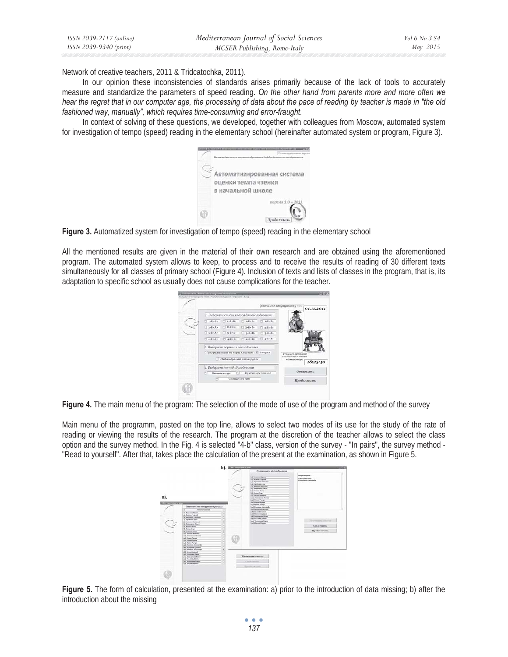Network of creative teachers, 2011 & Tridcatochka, 2011).

In our opinion these inconsistencies of standards arises primarily because of the lack of tools to accurately measure and standardize the parameters of speed reading. *On the other hand from parents more and more often we hear the regret that in our computer age, the processing of data about the pace of reading by teacher is made in "the old fashioned way, manually", which requires time-consuming and error-fraught.*

In context of solving of these questions, we developed, together with colleagues from Moscow, automated system for investigation of tempo (speed) reading in the elementary school (hereinafter automated system or program, Figure 3).



**Figure 3.** Automatized system for investigation of tempo (speed) reading in the elementary school

All the mentioned results are given in the material of their own research and are obtained using the aforementioned program. The automated system allows to keep, to process and to receive the results of reading of 30 different texts simultaneously for all classes of primary school (Figure 4). Inclusion of texts and lists of classes in the program, that is, its adaptation to specific school as usually does not cause complications for the teacher.



**Figure 4.** The main menu of the program: The selection of the mode of use of the program and method of the survey

Main menu of the programm, posted on the top line, allows to select two modes of its use for the study of the rate of reading or viewing the results of the research. The program at the discretion of the teacher allows to select the class option and the survey method. In the Fig. 4 is selected "4-b" class, version of the survey - "In pairs", the survey method - "Read to yourself". After that, takes place the calculation of the present at the examination, as shown in Figure 5.



**Figure 5.** The form of calculation, presented at the examination: a) prior to the introduction of data missing; b) after the introduction about the missing

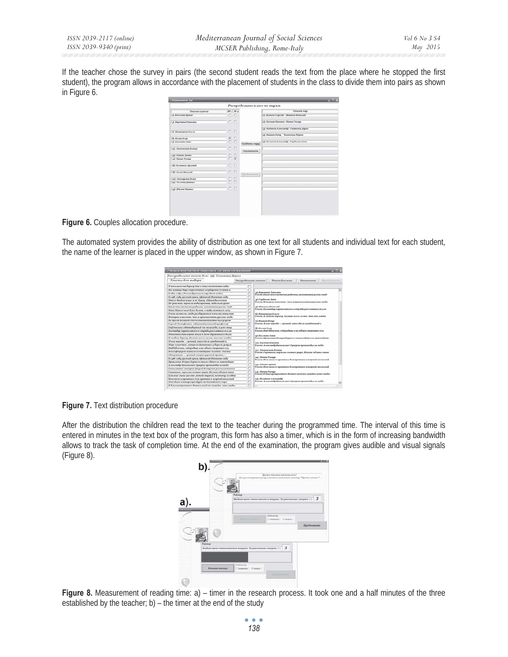If the teacher chose the survey in pairs (the second student reads the text from the place where he stopped the first student), the program allows in accordance with the placement of students in the class to divide them into pairs as shown in Figure 6.

| <b>WE ARE DESCRIPTIONS AND A</b> |           |             |                             | <b>COMMA</b>                          |
|----------------------------------|-----------|-------------|-----------------------------|---------------------------------------|
|                                  |           |             | Распределите класс по парам |                                       |
| Список класса                    |           | $AP + AP =$ |                             | Список пар-                           |
| 13. Beco.nosa Mysova             | <b>CC</b> |             |                             | 1). Pampe Feopral - Mannon Hunsepl    |
| al Asponsoro Formano             |           | <b>FIFT</b> |                             | al. Koconus Numana - Mareum Turego    |
| 61 Magnesiungs O.m.rg            | 日市        |             |                             | Al-Purlance Anexcenty - Commons Japua |
|                                  |           |             |                             | 43 Mecreco Hemp - Venoscopa Mapus     |
| <b>81. Kosta Erop</b>            | 昂         | я           |                             |                                       |
| al Konsoso.Como                  |           |             | Создать пору                | zl. Basecos Assecondo - Fepõecea Assa |
| 443 - Televisionen Kinsson       | m         | o           | Отелевувать.                |                                       |
| A.13. Massessi Apseud            |           |             |                             |                                       |
| AA). Nannor Funnap               |           | b           |                             |                                       |
| al). Peannon Aperson             |           | C-D         |                             |                                       |
| 483. Curaces Barra such          |           | <b>DID</b>  | Timide avenues)             |                                       |
| ac). Crescapeers RUssa           |           |             |                             |                                       |
| as). Vennous Jereman             |           |             |                             |                                       |
| a.s). Illiance Museus            | ы         | n           |                             |                                       |
|                                  |           |             |                             |                                       |

**Figure 6.** Couples allocation procedure.

The automated system provides the ability of distribution as one text for all students and individual text for each student, the name of the learner is placed in the upper window, as shown in Figure 7.

| Распределите текст для: 19). Синякова Дарья                      |                        |                                                                                              |                    |               |
|------------------------------------------------------------------|------------------------|----------------------------------------------------------------------------------------------|--------------------|---------------|
| Тексты для выбора                                                | Распределить текст     | Tessero das nese                                                                             | <b>Ситьмематив</b> | Hondisaneums. |
| Я поселения на березу Они и стал постоянно забъ-                 |                        |                                                                                              |                    |               |
| На грамми двих современных государств: Есмана и                  |                        |                                                                                              |                    |               |
| It shis rody a Poetau Syneesano napodnas soūna.                  |                        | al. Rapometer Torresport<br>Tracree Shang near harmarens publicizes, neminazemas passe raab- |                    |               |
| P Labb 200u puccessi suney Adowacyii Nussanus 200u-              |                        |                                                                                              |                    |               |
| Museo Baek novembe a no Ypacq. Odmiselhe ocemni                  | 4). Fopdeeea Anna      | Тексте Менеджи известны, что в произместными русским люди                                    |                    |               |
| Не имплекси, заимоли воды печатова, набегали гране-              |                        |                                                                                              |                    |               |
| Была мена частичая радости, менониттая разве заид-               |                        | el. Manusca Nuscanzú                                                                         |                    |               |
| These depose sunt dinex foreme, a medy corresponse, need.        |                        | Тенете Киминдар партиэлитного отряда расселтным вэзли                                        |                    |               |
| приявания продолжения в можете просто на просто полной просто    |                        | 61. Hemmanna O.m.ra                                                                          |                    |               |
| Истории известно, что в приниместами русские люди                |                        | Текст: Я гооблю дорогу. Больше всего за то, что она зовдт                                    |                    |               |
| Во прегия Великой Отечественной пойте был участи                 | +3. Maasson Demp-      |                                                                                              |                    |               |
| Сергей Гимофеевич, одинакций поэтизой профессор                  |                        | Тексте Язъяс народе - лучший, мисозда ме уподеохирай и                                       |                    |               |
| Final mexicans educated across it was not recorde. It game moves | <b>81. Kousse Even</b> |                                                                                              |                    |               |
| Колеандар первых миского отряда рассеянным в хлев-               |                        | Текст: Над Кблачено, в Бородине и по обешч старовам его.                                     |                    |               |
| Машенька Повлециал мещел в долее Приголовах и была               |                        |                                                                                              |                    |               |
| Я люблю дарогу. Больше всего экто, что она зовёт                 | al. Koxasea Antes      | Текст: Правленые Петра Первого стало одним из важнейшие                                      |                    |               |
| Я мых переоды - группой, поколода не улифановрай и               |                        |                                                                                              |                    |               |
| Маре озроляюе, лению вздырающее у берего, усным                  |                        | and, Riversam Museuman<br>Текст: Александр Васильевич Среоров преисходил из небо-            |                    |               |
| Над 82 лочеко, в Егднодиме и по обешн сторовам его.              |                        |                                                                                              |                    |               |
| Вели офицеров скакило селоводить человек. Скачки                 |                        | 443. Tacamacana Kressus<br>Тенсти Серемкное, тусклое осенчее утро. Низные облана затя-       |                    |               |
| «Багранном - лучшей генерал расской армии», -                    |                        |                                                                                              |                    |               |
| Paglio and pureaud syncy Advanced Numman sale-                   | 423. Number Theresa    |                                                                                              |                    |               |
| Провление Петра Первого стало однам из важнейших                 |                        | Темене Иень мичело приятного для путимого и эпорный инсассий                                 |                    |               |
| Александр Восильевыч Супаров происходил из небо-                 | and. Museums Apusea    |                                                                                              |                    |               |
| Станкланным стандицу дверей бесшилим развеляется                 |                        | Тепете Мет точего приятное для примым в этормый инъектой                                     |                    |               |
| Серемькое, такжное осеннее утро. Визнае облака зания             | a.gl. Massur Taroup    |                                                                                              |                    |               |
| Елизкая зима гразим литай стужей, назвали сегодна                |                        | Тепсто В благопрожденного дачного поедлие казадов, мено столь-                               |                    |               |
| Нет мучего приятнее для путмику в жаремі укольский               |                        | 12). Il acamon Accordialy-                                                                   |                    |               |
| Это было в январскую бурю на Кимийском море                      |                        | Текст: Александр Васильевич Суворов происходил из небо-                                      |                    |               |
| сабито питал, чоблюдая мас. Большев машининальном действа. В     |                        |                                                                                              |                    |               |

**Figure 7.** Text distribution procedure

After the distribution the children read the text to the teacher during the programmed time. The interval of this time is entered in minutes in the text box of the program, this form has also a timer, which is in the form of increasing bandwidth allows to track the task of completion time. At the end of the examination, the program gives audible and visual signals (Figure 8).



Figure 8. Measurement of reading time: a) – timer in the research process. It took one and a half minutes of the three established by the teacher; b) – the timer at the end of the study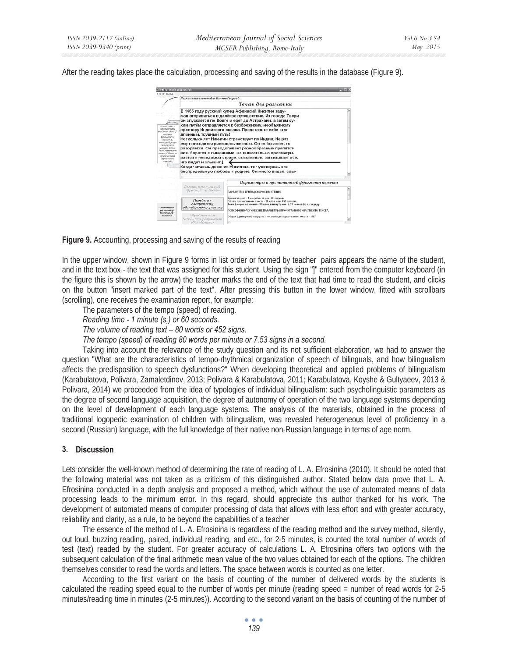After the reading takes place the calculation, processing and saving of the results in the database (Figure 9).



**Figure 9.** Accounting, processing and saving of the results of reading

In the upper window, shown in Figure 9 forms in list order or formed by teacher pairs appears the name of the student, and in the text box - the text that was assigned for this student. Using the sign "]" entered from the computer keyboard (in the figure this is shown by the arrow) the teacher marks the end of the text that had time to read the student, and clicks on the button "insert marked part of the text". After pressing this button in the lower window, fitted with scrollbars (scrolling), one receives the examination report, for example:

The parameters of the tempo (speed) of reading.

*Reading time - 1 minute (s,) or 60 seconds.* 

*The volume of reading text – 80 words or 452 signs.* 

*The tempo (speed) of reading 80 words per minute or 7.53 signs in a second.* 

Taking into account the relevance of the study question and its not sufficient elaboration, we had to answer the question "What are the characteristics of tempo-rhythmical organization of speech of bilinguals, and how bilingualism affects the predisposition to speech dysfunctions?" When developing theoretical and applied problems of bilingualism (Karabulatova, Polivara, Zamaletdinov, 2013; Polivara & Karabulatova, 2011; Karabulatova, Koyshe & Gultyaeev, 2013 & Polivara, 2014) we proceeded from the idea of typologies of individual bilingualism: such psycholinguistic parameters as the degree of second language acquisition, the degree of autonomy of operation of the two language systems depending on the level of development of each language systems. The analysis of the materials, obtained in the process of traditional logopedic examination of children with bilingualism, was revealed heterogeneous level of proficiency in a second (Russian) language, with the full knowledge of their native non-Russian language in terms of age norm.

## **3. Discussion**

Lets consider the well-known method of determining the rate of reading of L. A. Efrosinina (2010). It should be noted that the following material was not taken as a criticism of this distinguished author. Stated below data prove that L. A. Efrosinina conducted in a depth analysis and proposed a method, which without the use of automated means of data processing leads to the minimum error. In this regard, should appreciate this author thanked for his work. The development of automated means of computer processing of data that allows with less effort and with greater accuracy, reliability and clarity, as a rule, to be beyond the capabilities of a teacher

The essence of the method of L. A. Efrosinina is regardless of the reading method and the survey method, silently, out loud, buzzing reading, paired, individual reading, and etc., for 2-5 minutes, is counted the total number of words of test (text) readed by the student. For greater accuracy of calculations L. A. Efrosinina offers two options with the subsequent calculation of the final arithmetic mean value of the two values obtained for each of the options. The children themselves consider to read the words and letters. The space between words is counted as one letter.

According to the first variant on the basis of counting of the number of delivered words by the students is calculated the reading speed equal to the number of words per minute (reading speed = number of read words for 2-5 minutes/reading time in minutes (2-5 minutes)). According to the second variant on the basis of counting of the number of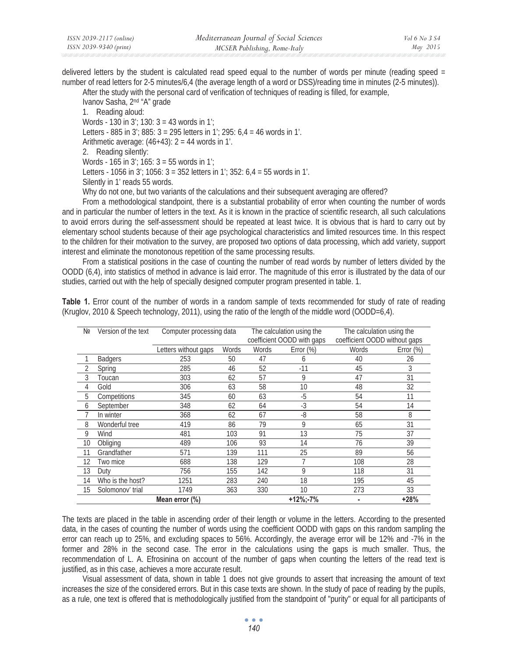| ISSN 2039-2117 (online) | Mediterranean Journal of Social Sciences | Vol 6 No 3 S4 |
|-------------------------|------------------------------------------|---------------|
| ISSN 2039-9340 (print)  | MCSER Publishing, Rome-Italy             | May 2015      |

delivered letters by the student is calculated read speed equal to the number of words per minute (reading speed = number of read letters for 2-5 minutes/6,4 (the average length of a word or DSS)/reading time in minutes (2-5 minutes)).

After the study with the personal card of verification of techniques of reading is filled, for example, Ivanov Sasha, 2nd "A" grade 1. Reading aloud: Words - 130 in 3'; 130: 3 = 43 words in 1'; Letters - 885 in 3'; 885:  $3 = 295$  letters in 1'; 295: 6,4 = 46 words in 1'. Arithmetic average:  $(46+43)$ :  $2 = 44$  words in 1'. 2. Reading silently: Words - 165 in  $3'$ : 165:  $3 = 55$  words in 1': Letters - 1056 in 3'; 1056:  $3 = 352$  letters in 1'; 352: 6,4 = 55 words in 1'. Silently in 1' reads 55 words.

Why do not one, but two variants of the calculations and their subsequent averaging are offered?

From a methodological standpoint, there is a substantial probability of error when counting the number of words and in particular the number of letters in the text. As it is known in the practice of scientific research, all such calculations to avoid errors during the self-assessment should be repeated at least twice. It is obvious that is hard to carry out by elementary school students because of their age psychological characteristics and limited resources time. In this respect to the children for their motivation to the survey, are proposed two options of data processing, which add variety, support interest and eliminate the monotonous repetition of the same processing results.

From a statistical positions in the case of counting the number of read words by number of letters divided by the OODD (6,4), into statistics of method in advance is laid error. The magnitude of this error is illustrated by the data of our studies, carried out with the help of specially designed computer program presented in table. 1.

| Nº | Version of the text | Computer processing data |       | The calculation using the<br>coefficient OODD with gaps |               | The calculation using the<br>coefficient OODD without gaps |              |
|----|---------------------|--------------------------|-------|---------------------------------------------------------|---------------|------------------------------------------------------------|--------------|
|    |                     | Letters without gaps     | Words | Words                                                   | Error $(\%)$  | Words                                                      | Error $(\%)$ |
|    | <b>Badgers</b>      | 253                      | 50    | 47                                                      | 6             | 40                                                         | 26           |
|    | Spring              | 285                      | 46    | 52                                                      | $-11$         | 45                                                         | 3            |
| 3  | Toucan              | 303                      | 62    | 57                                                      | 9             | 47                                                         | 31           |
| 4  | Gold                | 306                      | 63    | 58                                                      | 10            | 48                                                         | 32           |
| 5  | Competitions        | 345                      | 60    | 63                                                      | $-5$          | 54                                                         | 11           |
| 6  | September           | 348                      | 62    | 64                                                      | $-3$          | 54                                                         | 14           |
|    | In winter           | 368                      | 62    | 67                                                      | -8            | 58                                                         | 8            |
| 8  | Wonderful tree      | 419                      | 86    | 79                                                      | 9             | 65                                                         | 31           |
| 9  | Wind                | 481                      | 103   | 91                                                      | 13            | 75                                                         | 37           |
| 10 | Obliging            | 489                      | 106   | 93                                                      | 14            | 76                                                         | 39           |
| 11 | Grandfather         | 571                      | 139   | 111                                                     | 25            | 89                                                         | 56           |
| 12 | Two mice            | 688                      | 138   | 129                                                     |               | 108                                                        | 28           |
| 13 | Duty                | 756                      | 155   | 142                                                     | 9             | 118                                                        | 31           |
| 14 | Who is the host?    | 1251                     | 283   | 240                                                     | 18            | 195                                                        | 45           |
| 15 | Solomonov' trial    | 1749                     | 363   | 330                                                     | 10            | 273                                                        | 33           |
|    |                     | Mean error (%)           |       |                                                         | $+12\%; -7\%$ | ٠                                                          | $+28%$       |

**Table 1.** Error count of the number of words in a random sample of texts recommended for study of rate of reading (Kruglov, 2010 & Speech technology, 2011), using the ratio of the length of the middle word (OODD=6,4).

The texts are placed in the table in ascending order of their length or volume in the letters. According to the presented data, in the cases of counting the number of words using the coefficient OODD with gaps on this random sampling the error can reach up to 25%, and excluding spaces to 56%. Accordingly, the average error will be 12% and -7% in the former and 28% in the second case. The error in the calculations using the gaps is much smaller. Thus, the recommendation of L. A. Efrosinina on account of the number of gaps when counting the letters of the read text is justified, as in this case, achieves a more accurate result.

Visual assessment of data, shown in table 1 does not give grounds to assert that increasing the amount of text increases the size of the considered errors. But in this case texts are shown. In the study of pace of reading by the pupils, as a rule, one text is offered that is methodologically justified from the standpoint of "purity" or equal for all participants of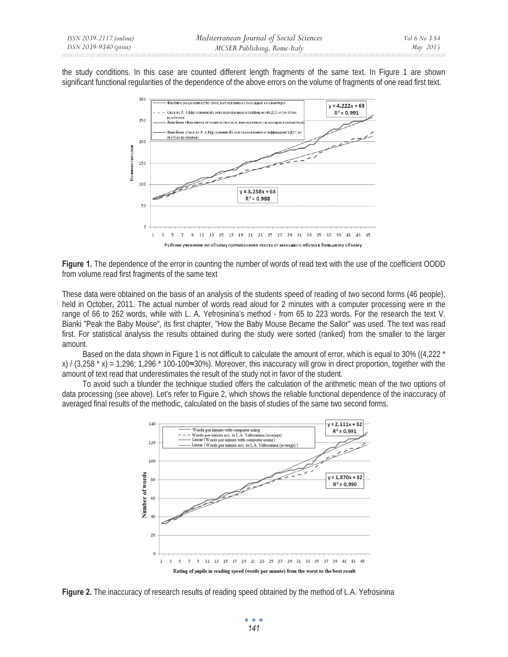the study conditions. In this case are counted different length fragments of the same text. In Figure 1 are shown significant functional regularities of the dependence of the above errors on the volume of fragments of one read first text.



**Figure 1.** The dependence of the error in counting the number of words of read text with the use of the coefficient OODD from volume read first fragments of the same text

These data were obtained on the basis of an analysis of the students speed of reading of two second forms (46 people), held in October, 2011. The actual number of words read aloud for 2 minutes with a computer processing were in the range of 66 to 262 words, while with L. A. Yefrosinina's method - from 65 to 223 words. For the research the text V. Bianki "Peak the Baby Mouse", its first chapter, "How the Baby Mouse Became the Sailor" was used. The text was read first. For statistical analysis the results obtained during the study were sorted (ranked) from the smaller to the larger amount.

Based on the data shown in Figure 1 is not difficult to calculate the amount of error, which is equal to 30% ((4,222  $*$ x)  $/$  (3,258 \* x) = 1,296; 1,296 \* 100-100 $\approx$ 30%). Moreover, this inaccuracy will grow in direct proportion, together with the amount of text read that underestimates the result of the study not in favor of the student.

To avoid such a blunder the technique studied offers the calculation of the arithmetic mean of the two options of data processing (see above). Let's refer to Figure 2, which shows the reliable functional dependence of the inaccuracy of averaged final results of the methodic, calculated on the basis of studies of the same two second forms.



**Figure 2.** The inaccuracy of research results of reading speed obtained by the method of L.A. Yefrosinina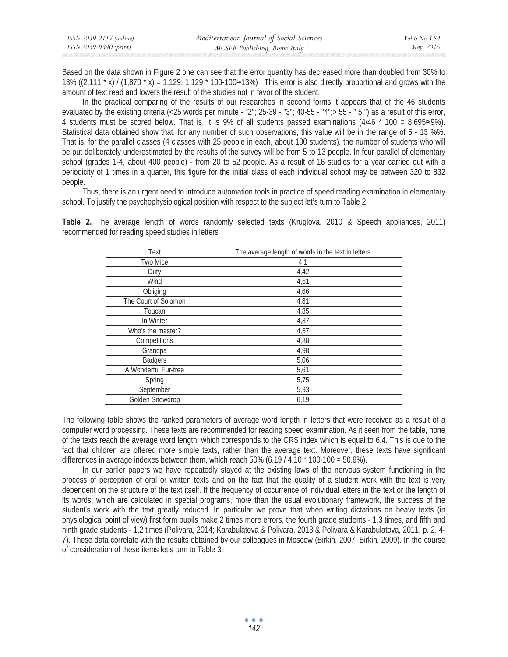| ISSN 2039-2117 (online) | Mediterranean Journal of Social Sciences | Vol 6 No 3 S4 |
|-------------------------|------------------------------------------|---------------|
| ISSN 2039-9340 (print)  | MCSER Publishing, Rome-Italy             | May 2015      |

Based on the data shown in Figure 2 one can see that the error quantity has decreased more than doubled from 30% to 13% ((2,111 \* x) / (1,870 \* x) = 1,129; 1,129 \* 100-100 $\approx$ 13%). This error is also directly proportional and grows with the amount of text read and lowers the result of the studies not in favor of the student.

In the practical comparing of the results of our researches in second forms it appears that of the 46 students evaluated by the existing criteria (<25 words per minute - "2"; 25-39 - "3"; 40-55 - "4";> 55 - "5") as a result of this error, 4 students must be scored below. That is, it is 9% of all students passed examinations  $(4/46 * 100 = 8.695 \approx 9\%)$ . Statistical data obtained show that, for any number of such observations, this value will be in the range of 5 - 13 %%. That is, for the parallel classes (4 classes with 25 people in each, about 100 students), the number of students who will be put deliberately underestimated by the results of the survey will be from 5 to 13 people. In four parallel of elementary school (grades 1-4, about 400 people) - from 20 to 52 people. As a result of 16 studies for a year carried out with a periodicity of 1 times in a quarter, this figure for the initial class of each individual school may be between 320 to 832 people.

Thus, there is an urgent need to introduce automation tools in practice of speed reading examination in elementary school. To justify the psychophysiological position with respect to the subject let's turn to Table 2.

**Table 2.** The average length of words randomly selected texts (Kruglova, 2010 & Speech appliances, 2011) recommended for reading speed studies in letters

| Text                 | The average length of words in the text in letters |
|----------------------|----------------------------------------------------|
| Two Mice             | 4,1                                                |
| Duty                 | 4,42                                               |
| Wind                 | 4,61                                               |
| Obliging             | 4,66                                               |
| The Court of Solomon | 4,81                                               |
| Toucan               | 4,85                                               |
| In Winter            | 4,87                                               |
| Who's the master?    | 4,87                                               |
| Competitions         | 4,88                                               |
| Grandpa              | 4,98                                               |
| <b>Badgers</b>       | 5,06                                               |
| A Wonderful Fur-tree | 5,61                                               |
| Spring               | 5,75                                               |
| September            | 5,93                                               |
| Golden Snowdrop      | 6,19                                               |

The following table shows the ranked parameters of average word length in letters that were received as a result of a computer word processing. These texts are recommended for reading speed examination. As it seen from the table, none of the texts reach the average word length, which corresponds to the CRS index which is equal to 6,4. This is due to the fact that children are offered more simple texts, rather than the average text. Moreover, these texts have significant differences in average indexes between them, which reach 50% (6.19 / 4.10  $*$  100-100 = 50.9%).

In our earlier papers we have repeatedly stayed at the existing laws of the nervous system functioning in the process of perception of oral or written texts and on the fact that the quality of a student work with the text is very dependent on the structure of the text itself. If the frequency of occurrence of individual letters in the text or the length of its words, which are calculated in special programs, more than the usual evolutionary framework, the success of the student's work with the text greatly reduced. In particular we prove that when writing dictations on heavy texts (in physiological point of view) first form pupils make 2 times more errors, the fourth grade students - 1.3 times, and fifth and ninth grade students - 1.2 times (Polivara, 2014; Karabulatova & Polivara, 2013 & Polivara & Karabulatova, 2011, p. 2, 4- 7). These data correlate with the results obtained by our colleagues in Moscow (Birkin, 2007; Birkin, 2009). In the course of consideration of these items let's turn to Table 3.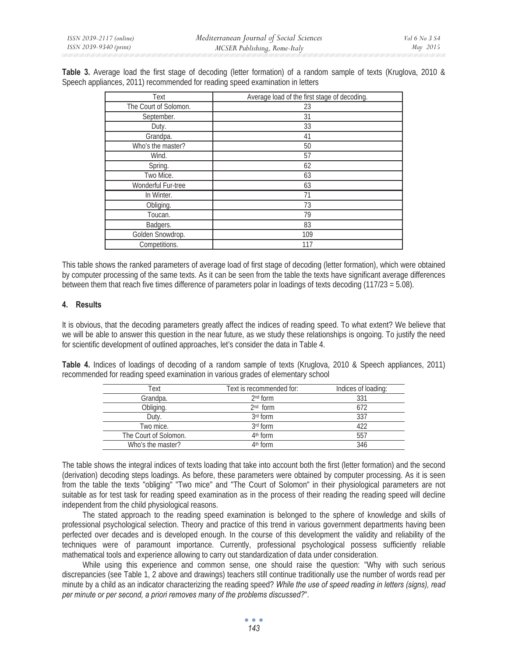**Table 3.** Average load the first stage of decoding (letter formation) of a random sample of texts (Kruglova, 2010 & Speech appliances, 2011) recommended for reading speed examination in letters

| Text                  | Average load of the first stage of decoding. |  |
|-----------------------|----------------------------------------------|--|
| The Court of Solomon. | 23                                           |  |
| September.            | 31                                           |  |
| Duty.                 | 33                                           |  |
| Grandpa.              | 41                                           |  |
| Who's the master?     | 50                                           |  |
| Wind.                 | 57                                           |  |
| Spring.               | 62                                           |  |
| Two Mice.             | 63                                           |  |
| Wonderful Fur-tree    | 63                                           |  |
| In Winter.            | 71                                           |  |
| Obliging.             | 73                                           |  |
| Toucan.               | 79                                           |  |
| Badgers.              | 83                                           |  |
| Golden Snowdrop.      | 109                                          |  |
| Competitions.         | 117                                          |  |

This table shows the ranked parameters of average load of first stage of decoding (letter formation), which were obtained by computer processing of the same texts. As it can be seen from the table the texts have significant average differences between them that reach five times difference of parameters polar in loadings of texts decoding (117/23 = 5.08).

# **4. Results**

It is obvious, that the decoding parameters greatly affect the indices of reading speed. To what extent? We believe that we will be able to answer this question in the near future, as we study these relationships is ongoing. To justify the need for scientific development of outlined approaches, let's consider the data in Table 4.

**Table 4.** Indices of loadings of decoding of a random sample of texts (Kruglova, 2010 & Speech appliances, 2011) recommended for reading speed examination in various grades of elementary school

| Text                  | Text is recommended for: | Indices of loading: |
|-----------------------|--------------------------|---------------------|
| Grandpa.              | $2nd$ form               | 331                 |
| Obliging.             | $2nd$ form               | 672                 |
| Duty.                 | 3 <sup>rd</sup> form     | 337                 |
| Two mice.             | 3rd form                 | 422                 |
| The Court of Solomon. | 4 <sup>th</sup> form     | 557                 |
| Who's the master?     | 4 <sup>th</sup> form     | 346                 |

The table shows the integral indices of texts loading that take into account both the first (letter formation) and the second (derivation) decoding steps loadings. As before, these parameters were obtained by computer processing. As it is seen from the table the texts "obliging" "Two mice" and "The Court of Solomon" in their physiological parameters are not suitable as for test task for reading speed examination as in the process of their reading the reading speed will decline independent from the child physiological reasons.

The stated approach to the reading speed examination is belonged to the sphere of knowledge and skills of professional psychological selection. Theory and practice of this trend in various government departments having been perfected over decades and is developed enough. In the course of this development the validity and reliability of the techniques were of paramount importance. Currently, professional psychological possess sufficiently reliable mathematical tools and experience allowing to carry out standardization of data under consideration.

While using this experience and common sense, one should raise the question: "Why with such serious discrepancies (see Table 1, 2 above and drawings) teachers still continue traditionally use the number of words read per minute by a child as an indicator characterizing the reading speed? *While the use of speed reading in letters (signs), read per minute or per second, a priori removes many of the problems discussed?*".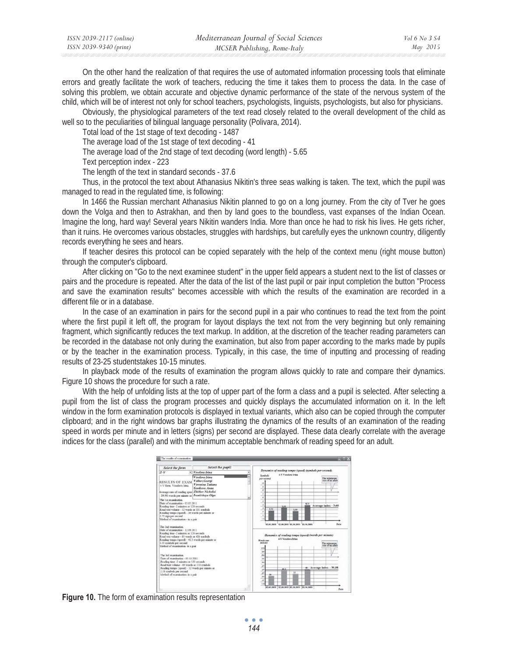| ISSN 2039-2117 (online) | Mediterranean Journal of Social Sciences | Vol 6 No 3 S4 |
|-------------------------|------------------------------------------|---------------|
| ISSN 2039-9340 (print)  | MCSER Publishing, Rome-Italy             | May 2015      |

On the other hand the realization of that requires the use of automated information processing tools that eliminate errors and greatly facilitate the work of teachers, reducing the time it takes them to process the data. In the case of solving this problem, we obtain accurate and objective dynamic performance of the state of the nervous system of the child, which will be of interest not only for school teachers, psychologists, linguists, psychologists, but also for physicians.

Obviously, the physiological parameters of the text read closely related to the overall development of the child as well so to the peculiarities of bilingual language personality (Polivara, 2014).

Total load of the 1st stage of text decoding - 1487

The average load of the 1st stage of text decoding - 41

The average load of the 2nd stage of text decoding (word length) - 5.65

Text perception index - 223

The length of the text in standard seconds - 37.6

Thus, in the protocol the text about Athanasius Nikitin's three seas walking is taken. The text, which the pupil was managed to read in the regulated time, is following:

In 1466 the Russian merchant Athanasius Nikitin planned to go on a long journey. From the city of Tver he goes down the Volga and then to Astrakhan, and then by land goes to the boundless, vast expanses of the Indian Ocean. Imagine the long, hard way! Several years Nikitin wanders India. More than once he had to risk his lives. He gets richer, than it ruins. He overcomes various obstacles, struggles with hardships, but carefully eyes the unknown country, diligently records everything he sees and hears.

If teacher desires this protocol can be copied separately with the help of the context menu (right mouse button) through the computer's clipboard.

After clicking on "Go to the next examinee student" in the upper field appears a student next to the list of classes or pairs and the procedure is repeated. After the data of the list of the last pupil or pair input completion the button "Process and save the examination results" becomes accessible with which the results of the examination are recorded in a different file or in a database.

In the case of an examination in pairs for the second pupil in a pair who continues to read the text from the point where the first pupil it left off, the program for layout displays the text not from the very beginning but only remaining fragment, which significantly reduces the text markup. In addition, at the discretion of the teacher reading parameters can be recorded in the database not only during the examination, but also from paper according to the marks made by pupils or by the teacher in the examination process. Typically, in this case, the time of inputting and processing of reading results of 23-25 studentstakes 10-15 minutes.

In playback mode of the results of examination the program allows quickly to rate and compare their dynamics. Figure 10 shows the procedure for such a rate.

With the help of unfolding lists at the top of upper part of the form a class and a pupil is selected. After selecting a pupil from the list of class the program processes and quickly displays the accumulated information on it. In the left window in the form examination protocols is displayed in textual variants, which also can be copied through the computer clipboard; and in the right windows bar graphs illustrating the dynamics of the results of an examination of the reading speed in words per minute and in letters (signs) per second are displayed. These data clearly correlate with the average indices for the class (parallel) and with the minimum acceptable benchmark of reading speed for an adult.

|                                                                                                                                                                                                                                                                                                              | Select the pupil<br>Select the form                                                                                                                                                                                                                                                                                                                                        |                                                                                                                                                                                                                                                                                                                                                                                                                               |
|--------------------------------------------------------------------------------------------------------------------------------------------------------------------------------------------------------------------------------------------------------------------------------------------------------------|----------------------------------------------------------------------------------------------------------------------------------------------------------------------------------------------------------------------------------------------------------------------------------------------------------------------------------------------------------------------------|-------------------------------------------------------------------------------------------------------------------------------------------------------------------------------------------------------------------------------------------------------------------------------------------------------------------------------------------------------------------------------------------------------------------------------|
| $2 - V$                                                                                                                                                                                                                                                                                                      | Veselova Irina<br>٠                                                                                                                                                                                                                                                                                                                                                        | Dynamics of reading tempo (speed) (symbols per second).<br><b>4.V Veselass Irina</b>                                                                                                                                                                                                                                                                                                                                          |
| <b>RESULTS OF EXAM</b><br>4-V form, Veselova Irina.                                                                                                                                                                                                                                                          | Veselova Irina<br>Volkov, Georgi<br>Voronina Tatiana<br>Gardeeva Anna<br>Average rate of reading spee Zhitkov Nicholai<br>39.98 words per minute or Ivanitskaya Olga                                                                                                                                                                                                       | Symbols<br>per second<br>The minimum<br>rate of an adul<br>147<br>÷<br>÷<br><b>SILLER</b><br>$\overline{a}$<br>$\tilde{\phantom{a}}$<br>Ŀ<br>Ŀ                                                                                                                                                                                                                                                                                |
| The 1st examination.<br>Date of examination - 03.05.2011<br>2.75 sign per second<br>Method of examination - in a pair<br>The 2nd examination.<br>Date of examination - 12.09.2011<br>3.55 symbols per second<br>Method of examination- in a pair<br>The 3rd examination.<br>Date of examination - 05 10 2011 | Reading time -2 minutes or 120 seconds<br>Read text volume - 52 words or 331 symbols<br>Reading tempo (speed) - 26 words per minute or<br>Reading time -2 minutes or 120 seconds<br>Read text volume - 83 words or 426 symbols<br>Reading tempo (speed) - 41.5 words per minute or<br>Reading time -2 minutes or 120 seconds<br>Read text volume - 64 words or 310 symbols | $\overline{\mathcal{S}}$<br>m<br>$\mathcal{A}$<br>Average index - 3,66<br>7.55<br>$\mathcal{Z}$<br>2.25<br>3.64<br>Ŀ<br>₹<br>$\leq$<br>Date<br>03.05.2011 12.09.2011 05.10.2011 15.10.2011<br>Dynamics of reading tempo (speed) (words per minute)<br><b>4.V Venelora Irina</b><br>Words per<br>minute<br>The minimum<br>rate of an adult<br><b>AGG</b><br>a<br>99<br>8 <sub>0</sub><br>÷<br>741<br>60<br>$\mathcal{S}^{\mu}$ |
|                                                                                                                                                                                                                                                                                                              | Reading tempo (speed) - 32 words per minute or<br>2.58 symbols per second                                                                                                                                                                                                                                                                                                  | 45-Average index - 39,98<br>41.5<br>$\mathcal{A}^0$<br>$\overline{\boldsymbol{v}}$<br>$\mathcal{P}^{\theta}$                                                                                                                                                                                                                                                                                                                  |

**Figure 10.** The form of examination results representation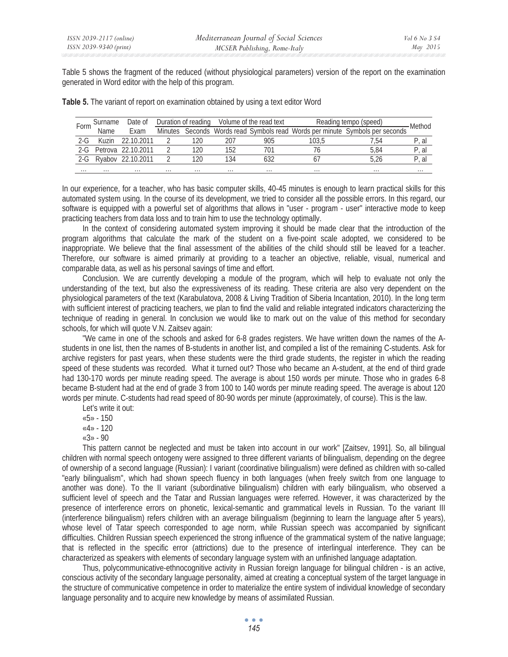Table 5 shows the fragment of the reduced (without physiological parameters) version of the report on the examination generated in Word editor with the help of this program.

| <b>Form</b> | Surname  | Date of '              |                |          |          | Duration of reading Volume of the read text |          | Reading tempo (speed)                                                | Method   |
|-------------|----------|------------------------|----------------|----------|----------|---------------------------------------------|----------|----------------------------------------------------------------------|----------|
|             | Name     | Exam                   | <b>Minutes</b> |          |          |                                             |          | Seconds Words read Symbols read Words per minute Symbols per seconds |          |
| $2 - G$     |          | Kuzin 22.10.2011       |                | 120      | 207      | 905                                         | 103.5    | .54                                                                  | P.al     |
|             |          | 2-G Petrova 22.10.2011 |                | 120      | 152      |                                             |          | 5.84                                                                 | P.al     |
| $2 - G$     |          | Ryabov 22.10.2011      |                | 120      | 134      |                                             |          |                                                                      | $P$ . al |
| $\cdots$    | $\cdots$ | $\cdots$               | $\cdots$       | $\cdots$ | $\cdots$ | $\cdots$                                    | $\cdots$ | $\cdots$                                                             | $\cdots$ |

**Table 5.** The variant of report on examination obtained by using a text editor Word

In our experience, for a teacher, who has basic computer skills, 40-45 minutes is enough to learn practical skills for this automated system using. In the course of its development, we tried to consider all the possible errors. In this regard, our software is equipped with a powerful set of algorithms that allows in "user - program - user" interactive mode to keep practicing teachers from data loss and to train him to use the technology optimally.

In the context of considering automated system improving it should be made clear that the introduction of the program algorithms that calculate the mark of the student on a five-point scale adopted, we considered to be inappropriate. We believe that the final assessment of the abilities of the child should still be leaved for a teacher. Therefore, our software is aimed primarily at providing to a teacher an objective, reliable, visual, numerical and comparable data, as well as his personal savings of time and effort.

Conclusion. We are currently developing a module of the program, which will help to evaluate not only the understanding of the text, but also the expressiveness of its reading. These criteria are also very dependent on the physiological parameters of the text (Karabulatova, 2008 & Living Tradition of Siberia Incantation, 2010). In the long term with sufficient interest of practicing teachers, we plan to find the valid and reliable integrated indicators characterizing the technique of reading in general. In conclusion we would like to mark out on the value of this method for secondary schools, for which will quote V.N. Zaitsev again:

"We came in one of the schools and asked for 6-8 grades registers. We have written down the names of the Astudents in one list, then the names of B-students in another list, and compiled a list of the remaining C-students. Ask for archive registers for past years, when these students were the third grade students, the register in which the reading speed of these students was recorded. What it turned out? Those who became an A-student, at the end of third grade had 130-170 words per minute reading speed. The average is about 150 words per minute. Those who in grades 6-8 became B-student had at the end of grade 3 from 100 to 140 words per minute reading speed. The average is about 120 words per minute. C-students had read speed of 80-90 words per minute (approximately, of course). This is the law.

Let's write it out:

«5» - 150

«4» - 120

«3» - 90

This pattern cannot be neglected and must be taken into account in our work" [Zaitsev, 1991]. So, all bilingual children with normal speech ontogeny were assigned to three different variants of bilingualism, depending on the degree of ownership of a second language (Russian): I variant (coordinative bilingualism) were defined as children with so-called "early bilingualism", which had shown speech fluency in both languages (when freely switch from one language to another was done). To the II variant (subordinative bilingualism) children with early bilingualism, who observed a sufficient level of speech and the Tatar and Russian languages were referred. However, it was characterized by the presence of interference errors on phonetic, lexical-semantic and grammatical levels in Russian. To the variant III (interference bilingualism) refers children with an average bilingualism (beginning to learn the language after 5 years), whose level of Tatar speech corresponded to age norm, while Russian speech was accompanied by significant difficulties. Children Russian speech experienced the strong influence of the grammatical system of the native language; that is reflected in the specific error (attrictions) due to the presence of interlingual interference. They can be characterized as speakers with elements of secondary language system with an unfinished language adaptation.

Thus, polycommunicative-ethnocognitive activity in Russian foreign language for bilingual children - is an active, conscious activity of the secondary language personality, aimed at creating a conceptual system of the target language in the structure of communicative competence in order to materialize the entire system of individual knowledge of secondary language personality and to acquire new knowledge by means of assimilated Russian.